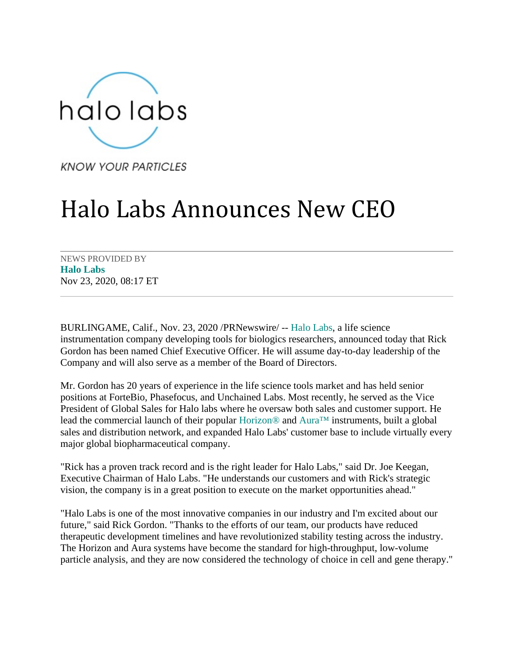

**KNOW YOUR PARTICLES** 

## Halo Labs Announces New CEO

NEWS PROVIDED BY **[Halo Labs](https://www.prnewswire.com/news/halo-labs)** Nov 23, 2020, 08:17 ET

BURLINGAME, Calif., Nov. 23, 2020 /PRNewswire/ -- [Halo Labs,](https://c212.net/c/link/?t=0&l=en&o=2988652-1&h=3768129002&u=https%3A%2F%2Fhalolabs.com%2F&a=Halo+Labs) a life science instrumentation company developing tools for biologics researchers, announced today that Rick Gordon has been named Chief Executive Officer. He will assume day-to-day leadership of the Company and will also serve as a member of the Board of Directors.

Mr. Gordon has 20 years of experience in the life science tools market and has held senior positions at ForteBio, Phasefocus, and Unchained Labs. Most recently, he served as the Vice President of Global Sales for Halo labs where he oversaw both sales and customer support. He lead the commercial launch of their popular [Horizon®](https://c212.net/c/link/?t=0&l=en&o=2988652-1&h=1062030816&u=https%3A%2F%2Fhalolabs.com%2Fhorizon-particle-analysis%2F&a=Horizon%C2%AE) and [Aura™](https://c212.net/c/link/?t=0&l=en&o=2988652-1&h=2906864018&u=https%3A%2F%2Fhalolabs.com%2Faura-particle-analysis%2F&a=Aura%E2%84%A2) instruments, built a global sales and distribution network, and expanded Halo Labs' customer base to include virtually every major global biopharmaceutical company.

"Rick has a proven track record and is the right leader for Halo Labs," said Dr. Joe Keegan, Executive Chairman of Halo Labs. "He understands our customers and with Rick's strategic vision, the company is in a great position to execute on the market opportunities ahead."

"Halo Labs is one of the most innovative companies in our industry and I'm excited about our future," said Rick Gordon. "Thanks to the efforts of our team, our products have reduced therapeutic development timelines and have revolutionized stability testing across the industry. The Horizon and Aura systems have become the standard for high-throughput, low-volume particle analysis, and they are now considered the technology of choice in cell and gene therapy."